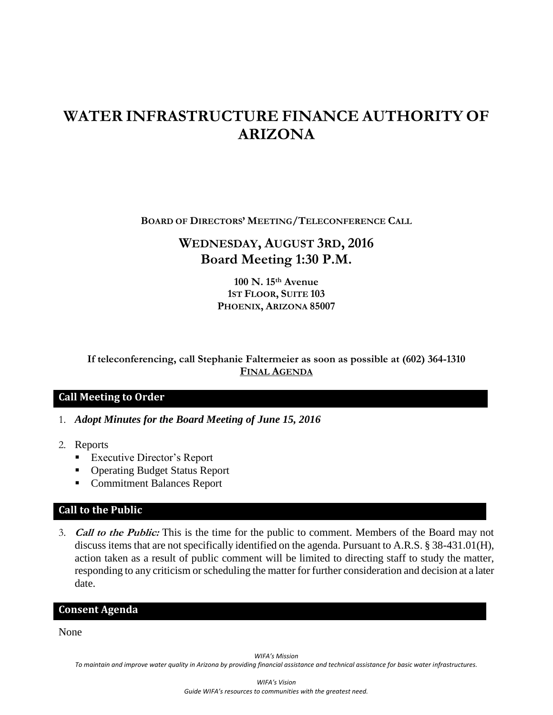# **WATER INFRASTRUCTURE FINANCE AUTHORITY OF ARIZONA**

**BOARD OF DIRECTORS' MEETING/TELECONFERENCE CALL**

# **WEDNESDAY, AUGUST 3RD, 2016 Board Meeting 1:30 P.M.**

**100 N. 15th Avenue 1ST FLOOR, SUITE 103 PHOENIX, ARIZONA 85007**

**If teleconferencing, call Stephanie Faltermeier as soon as possible at (602) 364-1310 FINAL AGENDA**

# **Call Meeting to Order**

- 1. *Adopt Minutes for the Board Meeting of June 15, 2016*
- 2. Reports
	- Executive Director's Report
	- Operating Budget Status Report
	- **Commitment Balances Report**

#### **Call to the Public**

3. **Call to the Public:** This is the time for the public to comment. Members of the Board may not discuss items that are not specifically identified on the agenda. Pursuant to A.R.S. § 38-431.01(H), action taken as a result of public comment will be limited to directing staff to study the matter, responding to any criticism or scheduling the matter for further consideration and decision at a later date.

#### **Consent Agenda**

None

*WIFA's Mission*

*To maintain and improve water quality in Arizona by providing financial assistance and technical assistance for basic water infrastructures.*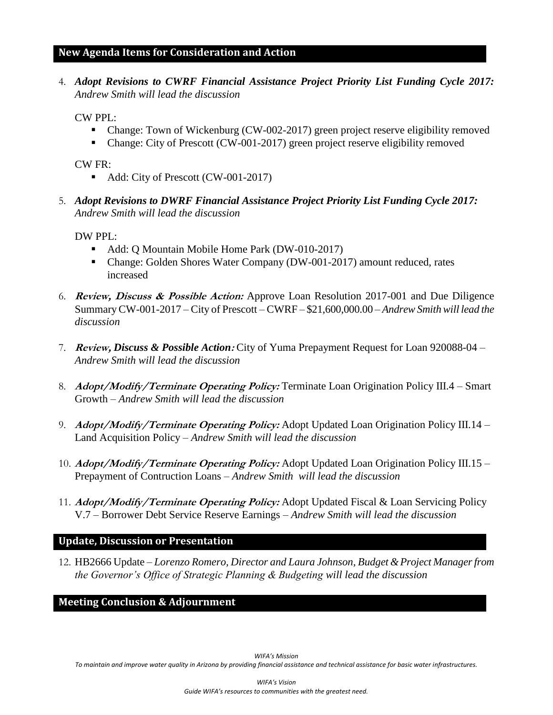#### **New Agenda Items for Consideration and Action**

4. *Adopt Revisions to CWRF Financial Assistance Project Priority List Funding Cycle 2017: Andrew Smith will lead the discussion*

CW PPL:

- Change: Town of Wickenburg (CW-002-2017) green project reserve eligibility removed
- Change: City of Prescott (CW-001-2017) green project reserve eligibility removed

CW FR:

- Add: City of Prescott (CW-001-2017)
- 5. *Adopt Revisions to DWRF Financial Assistance Project Priority List Funding Cycle 2017: Andrew Smith will lead the discussion*

DW PPL:

- Add: Q Mountain Mobile Home Park (DW-010-2017)
- Change: Golden Shores Water Company (DW-001-2017) amount reduced, rates increased
- 6. **Review, Discuss & Possible Action:** Approve Loan Resolution 2017-001 and Due Diligence SummaryCW-001-2017 – City of Prescott – CWRF – \$21,600,000.00 *– Andrew Smith will lead the discussion*
- 7. **Review,** *Discuss & Possible Action***:** City of Yuma Prepayment Request for Loan 920088-04 *Andrew Smith will lead the discussion*
- 8. **Adopt/Modify/Terminate Operating Policy:** Terminate Loan Origination Policy III.4 Smart Growth *– Andrew Smith will lead the discussion*
- 9. **Adopt/Modify/Terminate Operating Policy:** Adopt Updated Loan Origination Policy III.14 Land Acquisition Policy *– Andrew Smith will lead the discussion*
- 10. **Adopt/Modify/Terminate Operating Policy:** Adopt Updated Loan Origination Policy III.15 Prepayment of Contruction Loans *– Andrew Smith will lead the discussion*
- 11. **Adopt/Modify/Terminate Operating Policy:** Adopt Updated Fiscal & Loan Servicing Policy V.7 – Borrower Debt Service Reserve Earnings *– Andrew Smith will lead the discussion*

## **Update, Discussion or Presentation**

12. HB2666 Update – *Lorenzo Romero, Director and Laura Johnson, Budget & Project Manager from the Governor's Office of Strategic Planning & Budgeting will lead the discussion*

## **Meeting Conclusion & Adjournment**

*To maintain and improve water quality in Arizona by providing financial assistance and technical assistance for basic water infrastructures.*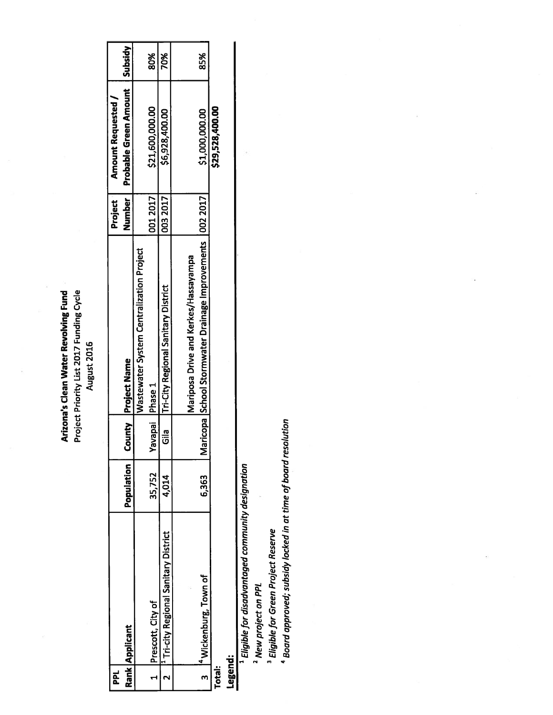**Arizona's Clean Water Revolving Fund<br>Project Priority List 2017 Funding Cycle** August 2016

| <b>PPL</b> |                                                  |            |                   |                                                               | Project | <b>Amount Requested</b> |         |  |
|------------|--------------------------------------------------|------------|-------------------|---------------------------------------------------------------|---------|-------------------------|---------|--|
|            | Rank   Applicant                                 | Population |                   | ounty Project Name                                            | Number  | Probable Green Amount   | Subsidy |  |
|            |                                                  |            |                   | Wastewater System Centralization Project                      |         |                         |         |  |
|            | Prescott, City of                                | 35,752     | Yavapai   Phase 1 |                                                               | 0012017 | \$21,600,000.00         | 80%     |  |
|            | <sup>1</sup> Tri-city Regional Sanitary District | 4,014      | ო<br>შ            | <b>Tri-City Regional Sanitary District</b>                    | 0032017 | \$6,928,400.00          | 70%     |  |
|            |                                                  |            |                   |                                                               |         |                         |         |  |
|            |                                                  |            |                   | Mariposa Drive and Kerkes/Hassayampa                          |         |                         |         |  |
|            | <sup>14</sup> Wickenburg, Town of                | 6,363      |                   | Maricopa   School Stormwater Drainage Improvements   002 2017 |         | \$1,000,000.00          | 85%     |  |
| Total:     |                                                  |            |                   |                                                               |         | \$29,528,400.00         |         |  |
|            |                                                  |            |                   |                                                               |         |                         |         |  |

Legend:

<sup>1</sup> Eligible for disadvantaged community designation

<sup>2</sup> New project on PPL

<sup>3</sup> Eligible for Green Project Reserve

<sup>4</sup> Board approved; subsidy locked in at time of board resolution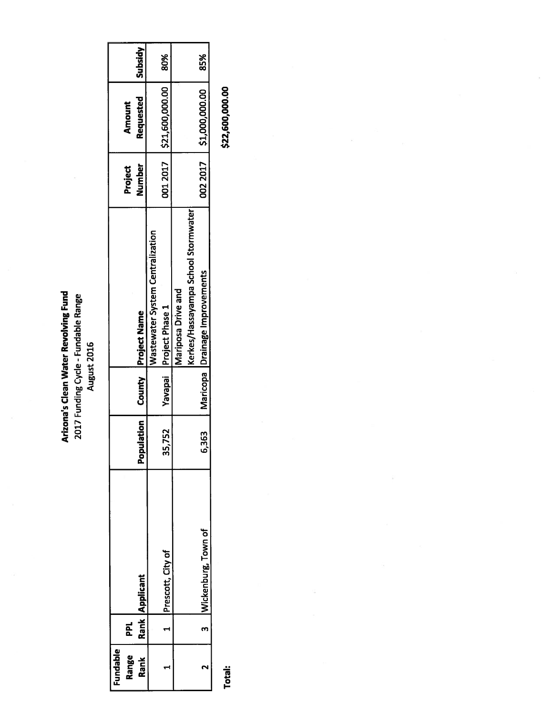**Arizona's Clean Water Revolving Fund<br>2017 Funding Cycle - Fundable Range<br>August 2016** 

| Fundable |     |                     |                     |                                         |         |                           |         |
|----------|-----|---------------------|---------------------|-----------------------------------------|---------|---------------------------|---------|
| Range    | PPL |                     |                     |                                         | Project | <b>Amount</b>             |         |
| Rank     |     | Rank Applicant      | ulation<br>n<br>Pop | County Project Name                     | Number  | Requested                 | Subsidy |
|          |     |                     |                     | <b>Wastewater System Centralization</b> |         |                           |         |
|          |     | Prescott, City of   | ,752<br>ဣ           | Yavapai Project Phase 1                 |         |                           | 80%     |
|          |     |                     |                     | Mariposa Drive and                      |         |                           |         |
|          |     |                     |                     | Kerkes/Hassayampa School Stormwater     |         |                           |         |
|          |     | Wickenburg, Town of | 363<br>30           | Maricopa   Drainage Improvements        |         | 002 2017   \$1,000,000.00 | 85%     |
|          |     |                     |                     |                                         |         |                           |         |

Total:

\$22,600,000.00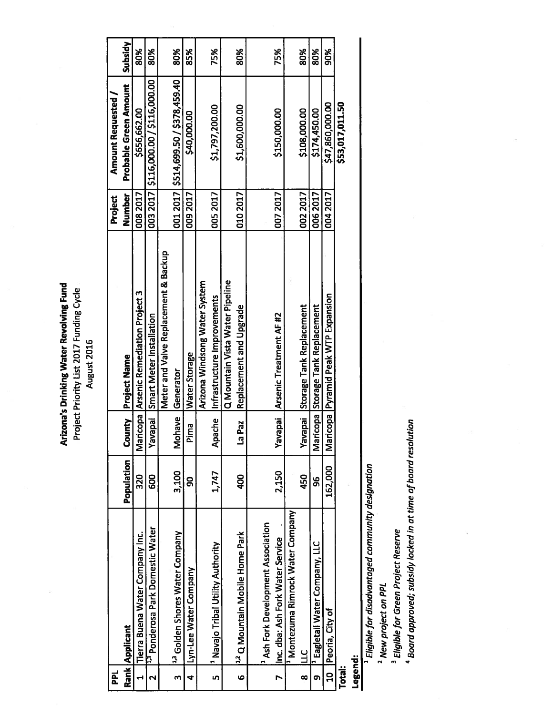Arizona's Drinking Water Revolving Fund Project Priority List 2017 Funding Cycle August 2016

| 힏            |                                               |            |                  |                                          | Project  | <b>Amount Requested</b>                |         |
|--------------|-----------------------------------------------|------------|------------------|------------------------------------------|----------|----------------------------------------|---------|
|              | Rank   Applicant                              | Population | Mun<br>රි        | Project Name                             | Number   | Probable Green Amount                  | Subsidy |
|              | Tierra Buena Water Company Inc.               | 320        |                  | Maricopa   Arsenic Remediation Project 3 | 008 2017 | \$656,662.00                           | 80%     |
|              | 1,3 Ponderosa Park Domestic Water             | 800        | Yavapai          | Smart Meter Installation                 |          | 003 2017   \$116,000.00 / \$116,000.00 | 80%     |
|              |                                               |            |                  | Meter and Valve Replacement & Backup     |          |                                        |         |
| m            | <sup>1,3</sup> Golden Shores Water Company    | 3,100      | Mohave           | Generator                                |          | 001 2017 \$514,699.50 / \$378,459.40   | 80%     |
| 4            | Lyn-Lee Water Company                         | g          | Pima             | <b>Water Storage</b>                     | 009 2017 | \$40,000.00                            | 85%     |
|              |                                               |            |                  | Arizona Windsong Water System            |          |                                        |         |
| in,          | <sup>1</sup> Navajo Tribal Utility Authority  | 1,747      | ache<br>දි       | Infrastructure Improvements              | 0052017  | \$1,797,200.00                         | 75%     |
|              |                                               |            |                  | Q Mountain Vista Water Pipeline          |          |                                        |         |
| $\bullet$    | <sup>1,2</sup> Q Mountain Mobile Home Park    | <b>QD</b>  | 1Paz<br><u>ო</u> | Replacement and Upgrade                  | 010 2017 | \$1,600,000.00                         | 80%     |
|              |                                               |            |                  |                                          |          |                                        |         |
|              | <sup>1</sup> Ash Fork Development Association |            |                  |                                          |          |                                        |         |
|              | Inc. dba: Ash Fork Water Service              | 2,150      | Yavapai          | Arsenic Treatment AF #2                  | 0072017  | \$150,000.00                           | 75%     |
|              | <sup>1</sup> Montezuma Rimrock Water Company  |            |                  |                                          |          |                                        |         |
| œ            | با                                            | 450        | Yavapai          | Storage Tank Replacement                 | 0022017  | \$108,000.00                           | 80%     |
| ō            | <sup>1</sup> Eagletail Water Company, LLC     | 96         |                  | Maricopa Storage Tank Replacement        | 006 2017 | \$174,450.00                           | 80%     |
| $\mathbf{a}$ | Peoria, City of                               | 162,000    |                  | Maricopa Pyramid Peak WTP Expansion      | 004 2017 | \$47,860,000.00                        | 90%     |
| Total:       |                                               |            |                  |                                          |          | \$53,017,011.50                        |         |

Legend:

<sup>1</sup> Eligible for disadvantaged community designation

<sup>2</sup> New project on PPL

<sup>3</sup> Eligible for Green Project Reserve

<sup>4</sup> Board approved; subsidy locked in at time of board resolution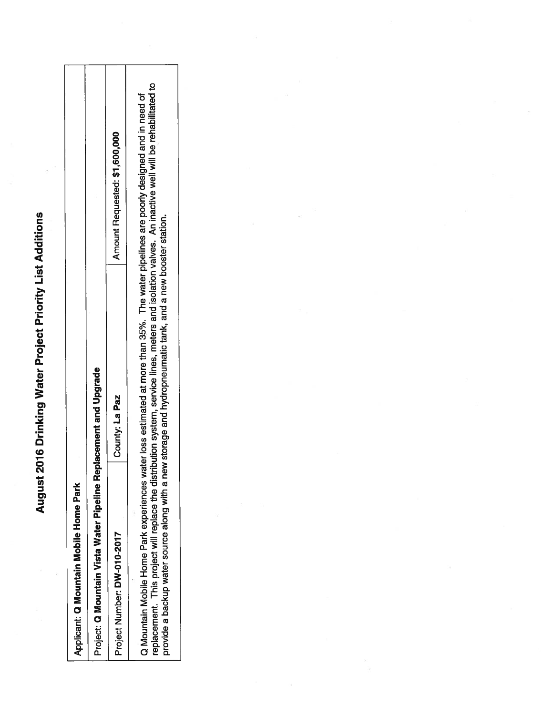August 2016 Drinking Water Project Priority List Additions

| Applicant: Q Mountain Mobile Home Park                           |                                                                                                                                                                                                                                                                                                                                                                     |                               |
|------------------------------------------------------------------|---------------------------------------------------------------------------------------------------------------------------------------------------------------------------------------------------------------------------------------------------------------------------------------------------------------------------------------------------------------------|-------------------------------|
| Project: Q Mountain Vista Water Pipeline Replacement and Upgrade |                                                                                                                                                                                                                                                                                                                                                                     |                               |
| Project Number: DW-010-2017                                      | County: La Paz                                                                                                                                                                                                                                                                                                                                                      | Amount Requested: \$1,600,000 |
| Q Mountain Mobile Home Park experiences                          | eplacement. This project will replace the distribution system, service lines, meters and isolation valves. An inactive well will be rehabilitated to<br>water loss estimated at more than 35%. The water pipelines are poorly designed and in need of<br>provide a backup water source along with a new storage and hydropneumatic tank, and a new booster station. |                               |